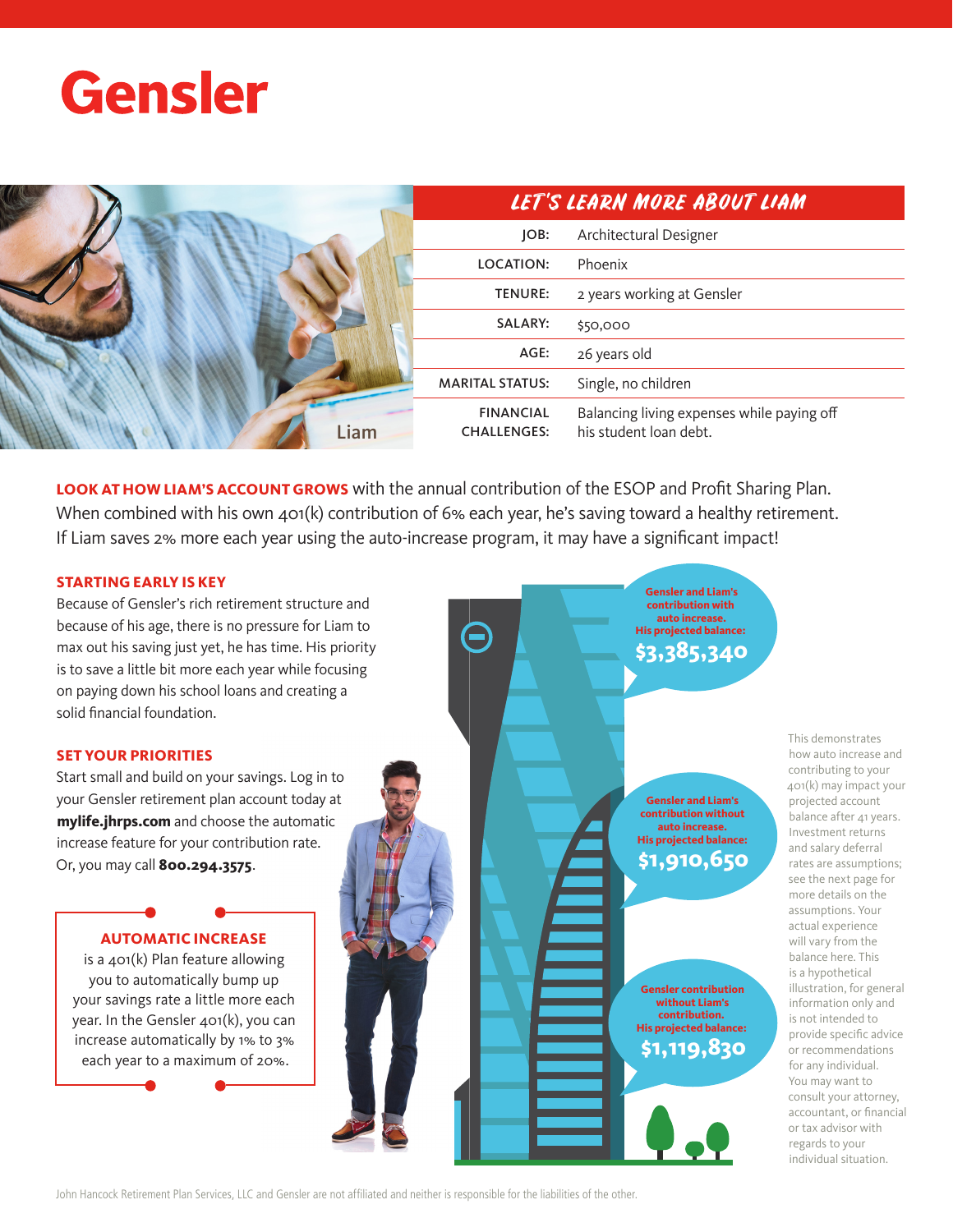



**LOOK AT HOW LIAM'S ACCOUNT GROWS** with the annual contribution of the ESOP and Profit Sharing Plan. When combined with his own 401(k) contribution of 6% each year, he's saving toward a healthy retirement. If Liam saves 2% more each year using the auto-increase program, it may have a significant impact!

## **STARTING EARLY IS KEY**

Because of Gensler's rich retirement structure and because of his age, there is no pressure for Liam to max out his saving just yet, he has time. His priority is to save a little bit more each year while focusing on paying down his school loans and creating a solid financial foundation.

## **SET YOUR PRIORITIES**

Start small and build on your savings. Log in to your Gensler retirement plan account today at **mylife.jhrps.com** and choose the automatic increase feature for your contribution rate. Or, you may call **800.294.3575**.

## **AUTOMATIC INCREASE**

is a 401(k) Plan feature allowing you to automatically bump up your savings rate a little more each year. In the Gensler 401(k), you can increase automatically by 1% to 3% each year to a maximum of 20%.

**Gensler and Liam's contribution without auto increase. His projected balance: \$1,910,650**

**Gensler and Liam's contribution with auto increase. His projected balance: \$3,385,340**

**Gensler contribution without Liam's contribution. His projected balance: \$1,119,830**

This demonstrates how auto increase and contributing to your 401(k) may impact your projected account balance after 41 years. Investment returns and salary deferral rates are assumptions; see the next page for more details on the assumptions. Your actual experience will vary from the balance here. This is a hypothetical illustration, for general information only and is not intended to provide specific advice or recommendations for any individual. You may want to consult your attorney, accountant, or financial or tax advisor with regards to your individual situation.